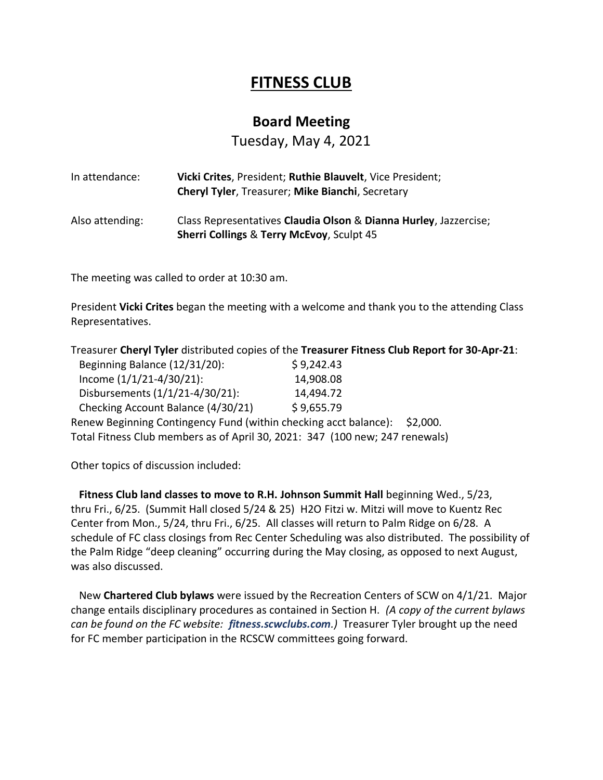## **FITNESS CLUB**

## **Board Meeting**

Tuesday, May 4, 2021

| In attendance:  | Vicki Crites, President; Ruthie Blauvelt, Vice President;<br><b>Cheryl Tyler, Treasurer; Mike Bianchi, Secretary</b>     |
|-----------------|--------------------------------------------------------------------------------------------------------------------------|
| Also attending: | Class Representatives Claudia Olson & Dianna Hurley, Jazzercise;<br><b>Sherri Collings &amp; Terry McEvoy, Sculpt 45</b> |

The meeting was called to order at 10:30 am.

President **Vicki Crites** began the meeting with a welcome and thank you to the attending Class Representatives.

|                                                                              | Treasurer Cheryl Tyler distributed copies of the Treasurer Fitness Club Report for 30-Apr-21: |
|------------------------------------------------------------------------------|-----------------------------------------------------------------------------------------------|
| Beginning Balance (12/31/20):                                                | \$9,242.43                                                                                    |
| Income $(1/1/21-4/30/21)$ :                                                  | 14,908.08                                                                                     |
| Disbursements (1/1/21-4/30/21):                                              | 14,494.72                                                                                     |
| Checking Account Balance (4/30/21)                                           | \$9,655.79                                                                                    |
| Renew Beginning Contingency Fund (within checking acct balance):             | S <sub>2</sub> .000.                                                                          |
| Total Fitness Club members as of April 30, 2021: 347 (100 new; 247 renewals) |                                                                                               |

Other topics of discussion included:

 **Fitness Club land classes to move to R.H. Johnson Summit Hall** beginning Wed., 5/23, thru Fri., 6/25. (Summit Hall closed 5/24 & 25) H2O Fitzi w. Mitzi will move to Kuentz Rec Center from Mon., 5/24, thru Fri., 6/25. All classes will return to Palm Ridge on 6/28. A schedule of FC class closings from Rec Center Scheduling was also distributed. The possibility of the Palm Ridge "deep cleaning" occurring during the May closing, as opposed to next August, was also discussed.

 New **Chartered Club bylaws** were issued by the Recreation Centers of SCW on 4/1/21. Major change entails disciplinary procedures as contained in Section H. *(A copy of the current bylaws can be found on the FC website: fitness.scwclubs.com.)* Treasurer Tyler brought up the need for FC member participation in the RCSCW committees going forward.